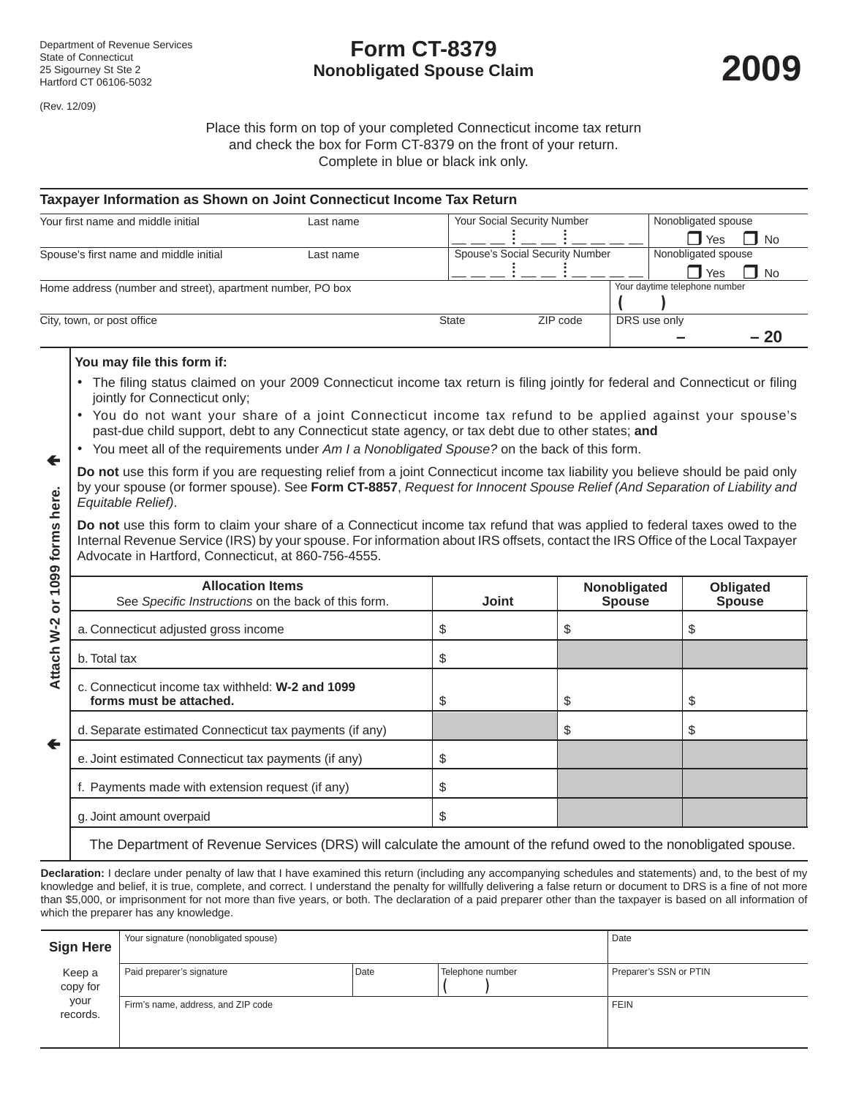# **Form CT-8379 Nonobligated Spouse Claim**

(Rev. 12/09)

←

Place this form on top of your completed Connecticut income tax return and check the box for Form CT-8379 on the front of your return. Complete in blue or black ink only.

| Taxpayer Information as Shown on Joint Connecticut Income Tax Return |           |              |                                 |              |                               |                     |  |
|----------------------------------------------------------------------|-----------|--------------|---------------------------------|--------------|-------------------------------|---------------------|--|
| Your first name and middle initial                                   | Last name |              | Your Social Security Number     |              |                               | Nonobligated spouse |  |
|                                                                      |           |              |                                 |              | <b>T</b> Yes                  | $\Box$ No           |  |
| Spouse's first name and middle initial<br>Last name                  |           |              | Spouse's Social Security Number |              | Nonobligated spouse           |                     |  |
|                                                                      |           |              |                                 |              | <b>T</b> Yes                  | <b>No</b>           |  |
| Home address (number and street), apartment number, PO box           |           |              |                                 |              | Your daytime telephone number |                     |  |
|                                                                      |           |              |                                 |              |                               |                     |  |
| City, town, or post office                                           |           | <b>State</b> | ZIP code                        | DRS use only |                               |                     |  |
|                                                                      |           |              |                                 |              |                               | $-20$               |  |

## **You may file this form if:**

- The filing status claimed on your 2009 Connecticut income tax return is filing jointly for federal and Connecticut or filing jointly for Connecticut only;
- You do not want your share of a joint Connecticut income tax refund to be applied against your spouse's past-due child support, debt to any Connecticut state agency, or tax debt due to other states; **and**
- You meet all of the requirements under *Am I a Nonobligated Spouse?* on the back of this form.
- **Do not** use this form if you are requesting relief from a joint Connecticut income tax liability you believe should be paid only by your spouse (or former spouse). See **Form CT-8857**, *Request for Innocent Spouse Relief (And Separation of Liability and Equitable Relief)*.

| <b>Allocation Items</b> | <b>Joint</b>                                                                                                                                                                                                                                                                                                                                                                                                                                               | Nonobligated<br><b>Spouse</b> | Obligated<br><b>Spouse</b>                                                                                                                                                                                                                                                                                                                                                                     |
|-------------------------|------------------------------------------------------------------------------------------------------------------------------------------------------------------------------------------------------------------------------------------------------------------------------------------------------------------------------------------------------------------------------------------------------------------------------------------------------------|-------------------------------|------------------------------------------------------------------------------------------------------------------------------------------------------------------------------------------------------------------------------------------------------------------------------------------------------------------------------------------------------------------------------------------------|
|                         | \$                                                                                                                                                                                                                                                                                                                                                                                                                                                         | S                             | \$                                                                                                                                                                                                                                                                                                                                                                                             |
|                         | \$                                                                                                                                                                                                                                                                                                                                                                                                                                                         |                               |                                                                                                                                                                                                                                                                                                                                                                                                |
|                         | \$                                                                                                                                                                                                                                                                                                                                                                                                                                                         | \$                            | \$                                                                                                                                                                                                                                                                                                                                                                                             |
|                         |                                                                                                                                                                                                                                                                                                                                                                                                                                                            | \$                            | \$                                                                                                                                                                                                                                                                                                                                                                                             |
|                         | \$                                                                                                                                                                                                                                                                                                                                                                                                                                                         |                               |                                                                                                                                                                                                                                                                                                                                                                                                |
|                         | \$                                                                                                                                                                                                                                                                                                                                                                                                                                                         |                               |                                                                                                                                                                                                                                                                                                                                                                                                |
|                         | \$                                                                                                                                                                                                                                                                                                                                                                                                                                                         |                               |                                                                                                                                                                                                                                                                                                                                                                                                |
|                         | Equitable Relief).<br>Advocate in Hartford, Connecticut, at 860-756-4555.<br>See Specific Instructions on the back of this form.<br>a. Connecticut adjusted gross income<br>c. Connecticut income tax withheld: W-2 and 1099<br>forms must be attached.<br>d. Separate estimated Connecticut tax payments (if any)<br>e. Joint estimated Connecticut tax payments (if any)<br>f. Payments made with extension request (if any)<br>g. Joint amount overpaid |                               | <u>Dy your spouse (or former spouse). See Form Cr-6697, Request for impocent Spouse Relief (And Separation or Liability and</u><br>Do not use this form to claim your share of a Connecticut income tax refund that was applied to federal taxes owed to the<br>Internal Revenue Service (IRS) by your spouse. For information about IRS offsets, contact the IRS Office of the Local Taxpayer |

The Department of Revenue Services (DRS) will calculate the amount of the refund owed to the nonobligated spouse.

**Declaration:** I declare under penalty of law that I have examined this return (including any accompanying schedules and statements) and, to the best of my knowledge and belief, it is true, complete, and correct. I understand the penalty for willfully delivering a false return or document to DRS is a fine of not more than \$5,000, or imprisonment for not more than five years, or both. The declaration of a paid preparer other than the taxpayer is based on all information of which the preparer has any knowledge.

| <b>Sign Here</b>   | Your signature (nonobligated spouse) |      |                  | Date                   |
|--------------------|--------------------------------------|------|------------------|------------------------|
| Keep a<br>copy for | Paid preparer's signature            | Date | Telephone number | Preparer's SSN or PTIN |
| your<br>records.   | Firm's name, address, and ZIP code   |      |                  | <b>FEIN</b>            |